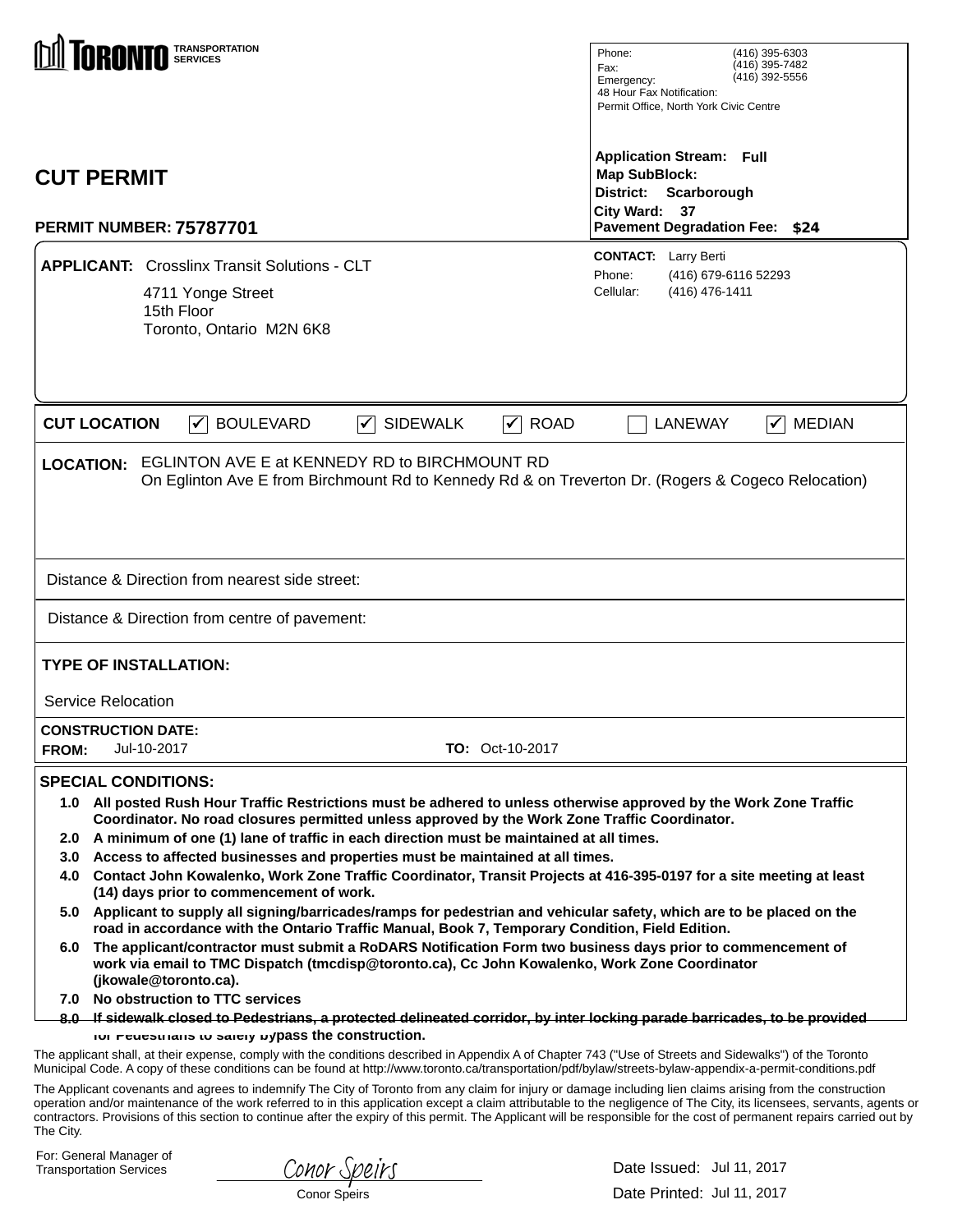| <b>TRANSPORTATION</b><br><b>CUT PERMIT</b><br><b>PERMIT NUMBER: 75787701</b>                                                                                            |  |                                                                                                                                                                                                                                                                                                                                                                                                                                                                                                                                                   |                      |                                     | Phone:<br>(416) 395-6303<br>(416) 395-7482<br>Fax:<br>(416) 392-5556<br>Emergency:<br>48 Hour Fax Notification:<br>Permit Office, North York Civic Centre<br><b>Application Stream: Full</b><br><b>Map SubBlock:</b><br><b>District:</b><br>Scarborough<br>City Ward: 37<br><b>Pavement Degradation Fee: \$24</b>                                                                                                                                                                                                                                                                                                                                                                                                                                                                                                                                                                                                                                                                                                                                                                                                                                                                                                                                                                                                                                                                                                                                                                                                                                                  |  |  |
|-------------------------------------------------------------------------------------------------------------------------------------------------------------------------|--|---------------------------------------------------------------------------------------------------------------------------------------------------------------------------------------------------------------------------------------------------------------------------------------------------------------------------------------------------------------------------------------------------------------------------------------------------------------------------------------------------------------------------------------------------|----------------------|-------------------------------------|--------------------------------------------------------------------------------------------------------------------------------------------------------------------------------------------------------------------------------------------------------------------------------------------------------------------------------------------------------------------------------------------------------------------------------------------------------------------------------------------------------------------------------------------------------------------------------------------------------------------------------------------------------------------------------------------------------------------------------------------------------------------------------------------------------------------------------------------------------------------------------------------------------------------------------------------------------------------------------------------------------------------------------------------------------------------------------------------------------------------------------------------------------------------------------------------------------------------------------------------------------------------------------------------------------------------------------------------------------------------------------------------------------------------------------------------------------------------------------------------------------------------------------------------------------------------|--|--|
|                                                                                                                                                                         |  |                                                                                                                                                                                                                                                                                                                                                                                                                                                                                                                                                   |                      |                                     |                                                                                                                                                                                                                                                                                                                                                                                                                                                                                                                                                                                                                                                                                                                                                                                                                                                                                                                                                                                                                                                                                                                                                                                                                                                                                                                                                                                                                                                                                                                                                                    |  |  |
| <b>CUT LOCATION</b>                                                                                                                                                     |  | <b>BOULEVARD</b><br>✓                                                                                                                                                                                                                                                                                                                                                                                                                                                                                                                             | <b>SIDEWALK</b><br>∨ | $\blacktriangledown$<br><b>ROAD</b> | <b>LANEWAY</b><br><b>MEDIAN</b><br>✓                                                                                                                                                                                                                                                                                                                                                                                                                                                                                                                                                                                                                                                                                                                                                                                                                                                                                                                                                                                                                                                                                                                                                                                                                                                                                                                                                                                                                                                                                                                               |  |  |
| EGLINTON AVE E at KENNEDY RD to BIRCHMOUNT RD<br><b>LOCATION:</b><br>On Eglinton Ave E from Birchmount Rd to Kennedy Rd & on Treverton Dr. (Rogers & Cogeco Relocation) |  |                                                                                                                                                                                                                                                                                                                                                                                                                                                                                                                                                   |                      |                                     |                                                                                                                                                                                                                                                                                                                                                                                                                                                                                                                                                                                                                                                                                                                                                                                                                                                                                                                                                                                                                                                                                                                                                                                                                                                                                                                                                                                                                                                                                                                                                                    |  |  |
| Distance & Direction from nearest side street:                                                                                                                          |  |                                                                                                                                                                                                                                                                                                                                                                                                                                                                                                                                                   |                      |                                     |                                                                                                                                                                                                                                                                                                                                                                                                                                                                                                                                                                                                                                                                                                                                                                                                                                                                                                                                                                                                                                                                                                                                                                                                                                                                                                                                                                                                                                                                                                                                                                    |  |  |
| Distance & Direction from centre of pavement:                                                                                                                           |  |                                                                                                                                                                                                                                                                                                                                                                                                                                                                                                                                                   |                      |                                     |                                                                                                                                                                                                                                                                                                                                                                                                                                                                                                                                                                                                                                                                                                                                                                                                                                                                                                                                                                                                                                                                                                                                                                                                                                                                                                                                                                                                                                                                                                                                                                    |  |  |
| <b>TYPE OF INSTALLATION:</b>                                                                                                                                            |  |                                                                                                                                                                                                                                                                                                                                                                                                                                                                                                                                                   |                      |                                     |                                                                                                                                                                                                                                                                                                                                                                                                                                                                                                                                                                                                                                                                                                                                                                                                                                                                                                                                                                                                                                                                                                                                                                                                                                                                                                                                                                                                                                                                                                                                                                    |  |  |
| Service Relocation                                                                                                                                                      |  |                                                                                                                                                                                                                                                                                                                                                                                                                                                                                                                                                   |                      |                                     |                                                                                                                                                                                                                                                                                                                                                                                                                                                                                                                                                                                                                                                                                                                                                                                                                                                                                                                                                                                                                                                                                                                                                                                                                                                                                                                                                                                                                                                                                                                                                                    |  |  |
| <b>CONSTRUCTION DATE:</b><br><b>TO: Oct-10-2017</b><br>Jul-10-2017<br><b>FROM:</b>                                                                                      |  |                                                                                                                                                                                                                                                                                                                                                                                                                                                                                                                                                   |                      |                                     |                                                                                                                                                                                                                                                                                                                                                                                                                                                                                                                                                                                                                                                                                                                                                                                                                                                                                                                                                                                                                                                                                                                                                                                                                                                                                                                                                                                                                                                                                                                                                                    |  |  |
| <b>SPECIAL CONDITIONS:</b><br>3.0<br>6.0                                                                                                                                |  | Coordinator. No road closures permitted unless approved by the Work Zone Traffic Coordinator.<br>2.0 A minimum of one (1) lane of traffic in each direction must be maintained at all times.<br>Access to affected businesses and properties must be maintained at all times.<br>(14) days prior to commencement of work.<br>road in accordance with the Ontario Traffic Manual, Book 7, Temporary Condition, Field Edition.<br>(jkowale@toronto.ca).<br>7.0 No obstruction to TTC services<br>ior regestrians to salely bypass the construction. |                      |                                     | 1.0 All posted Rush Hour Traffic Restrictions must be adhered to unless otherwise approved by the Work Zone Traffic<br>4.0 Contact John Kowalenko, Work Zone Traffic Coordinator, Transit Projects at 416-395-0197 for a site meeting at least<br>5.0 Applicant to supply all signing/barricades/ramps for pedestrian and vehicular safety, which are to be placed on the<br>The applicant/contractor must submit a RoDARS Notification Form two business days prior to commencement of<br>work via email to TMC Dispatch (tmcdisp@toronto.ca), Cc John Kowalenko, Work Zone Coordinator<br>8.0 If sidewalk closed to Pedestrians, a protected delineated corridor, by inter locking parade barricades, to be provided<br>The applicant shall, at their expense, comply with the conditions described in Appendix A of Chapter 743 ("Use of Streets and Sidewalks") of the Toronto<br>Municipal Code. A copy of these conditions can be found at http://www.toronto.ca/transportation/pdf/bylaw/streets-bylaw-appendix-a-permit-conditions.pdf<br>The Applicant covenants and agrees to indemnify The City of Toronto from any claim for injury or damage including lien claims arising from the construction<br>operation and/or maintenance of the work referred to in this application except a claim attributable to the negligence of The City, its licensees, servants, agents or<br>contractors. Provisions of this section to continue after the expiry of this permit. The Applicant will be responsible for the cost of permanent repairs carried out by |  |  |
| The City.                                                                                                                                                               |  |                                                                                                                                                                                                                                                                                                                                                                                                                                                                                                                                                   |                      |                                     |                                                                                                                                                                                                                                                                                                                                                                                                                                                                                                                                                                                                                                                                                                                                                                                                                                                                                                                                                                                                                                                                                                                                                                                                                                                                                                                                                                                                                                                                                                                                                                    |  |  |

For: General Manager of Transportation Services

| Conor Speirs        |  |
|---------------------|--|
| <b>Conor Speirs</b> |  |

÷,

Date Issued: Jul 11, 2017 Date Printed: Jul 11, 2017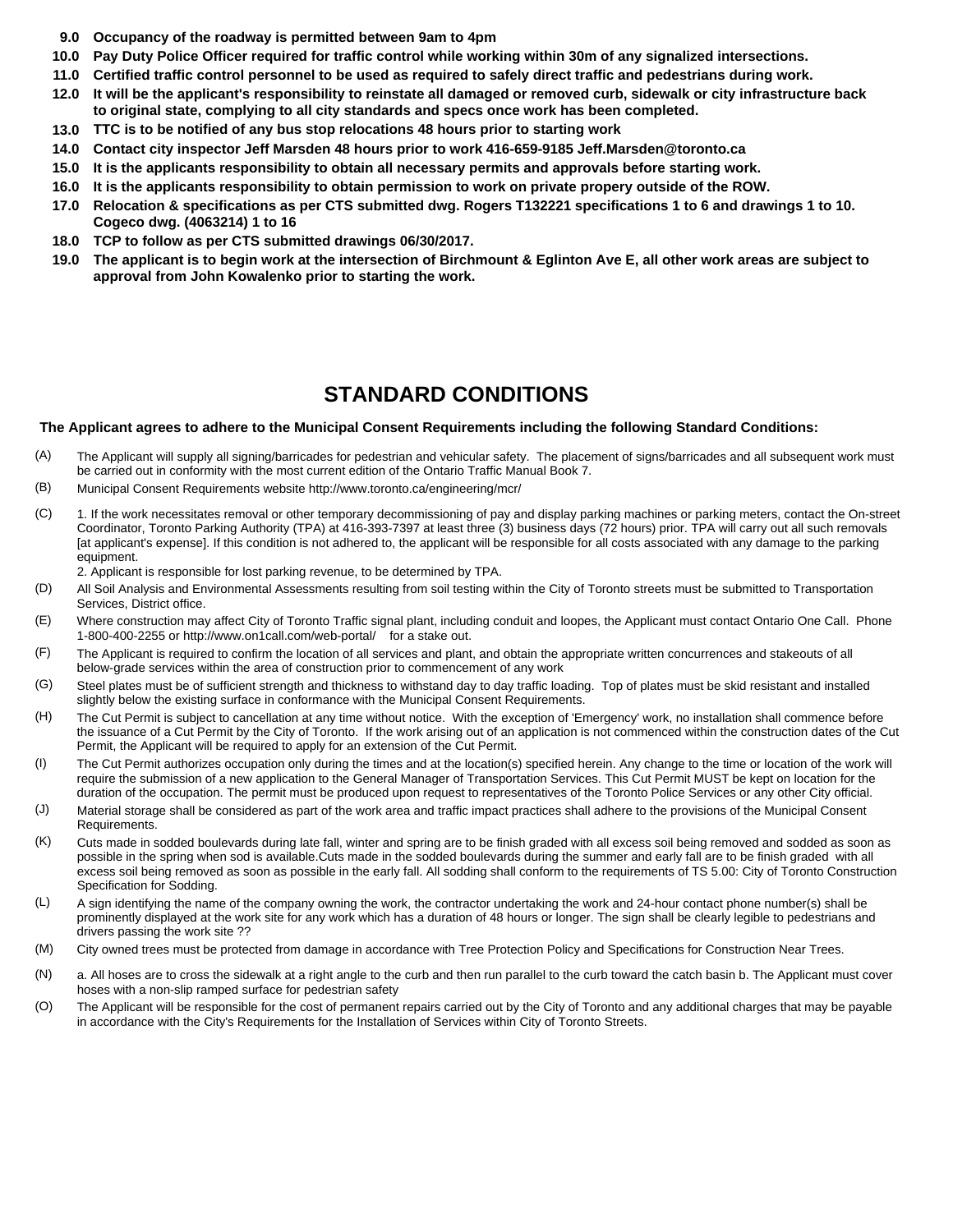- **9.0 Occupancy of the roadway is permitted between 9am to 4pm**
- **10.0 Pay Duty Police Officer required for traffic control while working within 30m of any signalized intersections.**
- **11.0 Certified traffic control personnel to be used as required to safely direct traffic and pedestrians during work.**
- **It will be the applicant's responsibility to reinstate all damaged or removed curb, sidewalk or city infrastructure back 12.0 to original state, complying to all city standards and specs once work has been completed.**
- **13.0 TTC is to be notified of any bus stop relocations 48 hours prior to starting work**
- **14.0 Contact city inspector Jeff Marsden 48 hours prior to work 416-659-9185 Jeff.Marsden@toronto.ca**
- **15.0 It is the applicants responsibility to obtain all necessary permits and approvals before starting work.**
- **16.0 It is the applicants responsibility to obtain permission to work on private propery outside of the ROW.**
- **Relocation & specifications as per CTS submitted dwg. Rogers T132221 specifications 1 to 6 and drawings 1 to 10. 17.0 Cogeco dwg. (4063214) 1 to 16**
- **18.0 TCP to follow as per CTS submitted drawings 06/30/2017.**
- **The applicant is to begin work at the intersection of Birchmount & Eglinton Ave E, all other work areas are subject to 19.0 approval from John Kowalenko prior to starting the work.**

## **STANDARD CONDITIONS**

## **The Applicant agrees to adhere to the Municipal Consent Requirements including the following Standard Conditions:**

- The Applicant will supply all signing/barricades for pedestrian and vehicular safety. The placement of signs/barricades and all subsequent work must be carried out in conformity with the most current edition of the Ontario Traffic Manual Book 7. (A)
- (B) Municipal Consent Requirements website http://www.toronto.ca/engineering/mcr/
- 1. If the work necessitates removal or other temporary decommissioning of pay and display parking machines or parking meters, contact the On-street Coordinator, Toronto Parking Authority (TPA) at 416-393-7397 at least three (3) business days (72 hours) prior. TPA will carry out all such removals [at applicant's expense]. If this condition is not adhered to, the applicant will be responsible for all costs associated with any damage to the parking equipment. (C)
	- 2. Applicant is responsible for lost parking revenue, to be determined by TPA.
- All Soil Analysis and Environmental Assessments resulting from soil testing within the City of Toronto streets must be submitted to Transportation Services, District office. (D)
- Where construction may affect City of Toronto Traffic signal plant, including conduit and loopes, the Applicant must contact Ontario One Call. Phone 1-800-400-2255 or http://www.on1call.com/web-portal/ for a stake out. (E)
- The Applicant is required to confirm the location of all services and plant, and obtain the appropriate written concurrences and stakeouts of all below-grade services within the area of construction prior to commencement of any work (F)
- Steel plates must be of sufficient strength and thickness to withstand day to day traffic loading. Top of plates must be skid resistant and installed slightly below the existing surface in conformance with the Municipal Consent Requirements. (G)
- The Cut Permit is subject to cancellation at any time without notice. With the exception of 'Emergency' work, no installation shall commence before the issuance of a Cut Permit by the City of Toronto. If the work arising out of an application is not commenced within the construction dates of the Cut Permit, the Applicant will be required to apply for an extension of the Cut Permit. (H)
- The Cut Permit authorizes occupation only during the times and at the location(s) specified herein. Any change to the time or location of the work will require the submission of a new application to the General Manager of Transportation Services. This Cut Permit MUST be kept on location for the duration of the occupation. The permit must be produced upon request to representatives of the Toronto Police Services or any other City official. (I)
- Material storage shall be considered as part of the work area and traffic impact practices shall adhere to the provisions of the Municipal Consent Requirements. (J)
- Cuts made in sodded boulevards during late fall, winter and spring are to be finish graded with all excess soil being removed and sodded as soon as possible in the spring when sod is available.Cuts made in the sodded boulevards during the summer and early fall are to be finish graded with all excess soil being removed as soon as possible in the early fall. All sodding shall conform to the requirements of TS 5.00: City of Toronto Construction Specification for Sodding. (K)
- A sign identifying the name of the company owning the work, the contractor undertaking the work and 24-hour contact phone number(s) shall be prominently displayed at the work site for any work which has a duration of 48 hours or longer. The sign shall be clearly legible to pedestrians and drivers passing the work site ?? (L)
- (M) City owned trees must be protected from damage in accordance with Tree Protection Policy and Specifications for Construction Near Trees.
- a. All hoses are to cross the sidewalk at a right angle to the curb and then run parallel to the curb toward the catch basin b. The Applicant must cover hoses with a non-slip ramped surface for pedestrian safety (N)
- The Applicant will be responsible for the cost of permanent repairs carried out by the City of Toronto and any additional charges that may be payable in accordance with the City's Requirements for the Installation of Services within City of Toronto Streets. (O)